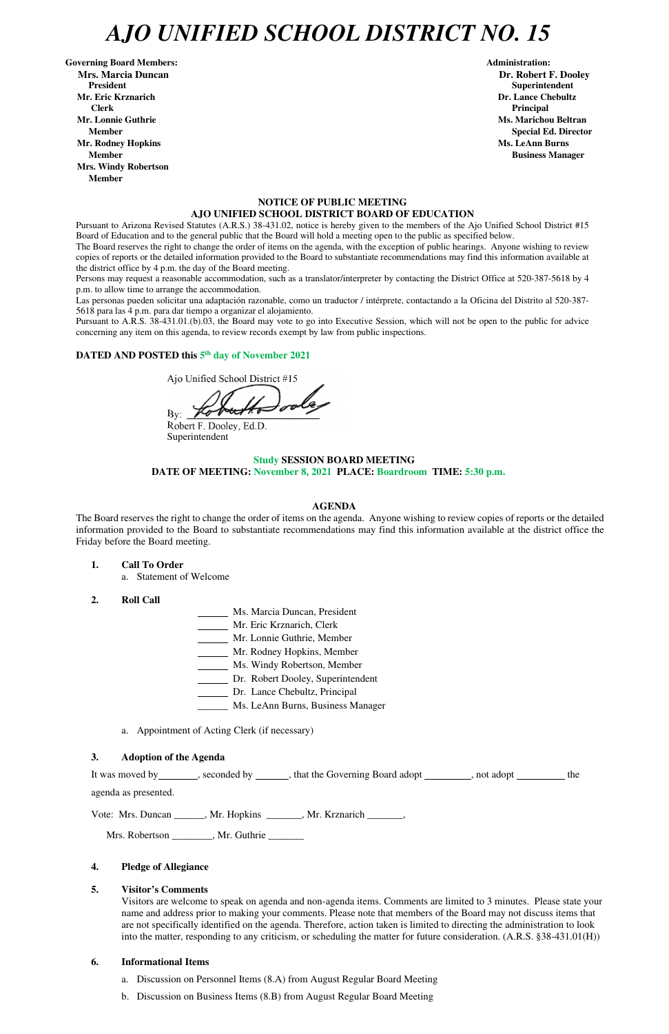## *AJO UNIFIED SCHOOL DISTRICT NO. 15*

Governing Board Members: **Administration: Administration: Mrs. Marcia Duncan Dr. Robert F. Dooley President Superintendent in the set of the set of the set of the set of the set of the Superintendent Superintendent Mr. Eric Krznarich Dr. Lance Chebultz Clerk Principal Mr. Lonnie Guthrie Ms. Marichou Beltran** *Ms. Marichou Beltran* **<b>Ms. Marichou Beltran Mr. Rodney Hopkins Ms. LeAnn Burns Member Business Manager Business Manager Business Manager Business Manager Mrs. Windy Robertson Member** 

### **NOTICE OF PUBLIC MEETING AJO UNIFIED SCHOOL DISTRICT BOARD OF EDUCATION**

Pursuant to Arizona Revised Statutes (A.R.S.) 38-431.02, notice is hereby given to the members of the Ajo Unified School District #15 Board of Education and to the general public that the Board will hold a meeting open to the public as specified below.

The Board reserves the right to change the order of items on the agenda, with the exception of public hearings. Anyone wishing to review copies of reports or the detailed information provided to the Board to substantiate recommendations may find this information available at the district office by 4 p.m. the day of the Board meeting.

Persons may request a reasonable accommodation, such as a translator/interpreter by contacting the District Office at 520-387-5618 by 4 p.m. to allow time to arrange the accommodation.

Las personas pueden solicitar una adaptación razonable, como un traductor / intérprete, contactando a la Oficina del Distrito al 520-387- 5618 para las 4 p.m. para dar tiempo a organizar el alojamiento.

It was moved by seconded by \_\_\_\_\_, that the Governing Board adopt \_\_\_\_\_\_\_, not adopt \_\_\_\_\_\_\_ the agenda as presented.

Pursuant to A.R.S. 38-431.01.(b).03, the Board may vote to go into Executive Session, which will not be open to the public for advice concerning any item on this agenda, to review records exempt by law from public inspections.

### DATED AND POSTED this 5<sup>th</sup> day of November 2021

Ajo Unified School District #15

 $By:$ 

Robert F. Dooley, Ed.D. Superintendent

### **Study SESSION BOARD MEETING DATE OF MEETING: November 8, 2021 PLACE: Boardroom TIME: 5:30 p.m.**

### **AGENDA**

The Board reserves the right to change the order of items on the agenda. Anyone wishing to review copies of reports or the detailed information provided to the Board to substantiate recommendations may find this information available at the district office the Friday before the Board meeting.

- **1. Call To Order** 
	- a. Statement of Welcome
- **2. Roll Call**
- Ms. Marcia Duncan, President
- Mr. Eric Krznarich, Clerk
- Mr. Lonnie Guthrie, Member
- Mr. Rodney Hopkins, Member
- Ms. Windy Robertson, Member
- Dr. Robert Dooley, Superintendent
- Dr. Lance Chebultz, Principal
- \_\_\_\_\_\_ Ms. LeAnn Burns, Business Manager
- a. Appointment of Acting Clerk (if necessary)

### **3. Adoption of the Agenda**

**Member** Special Ed. Director **Special Ed. Director** 

Vote: Mrs. Duncan \_\_\_\_\_\_, Mr. Hopkins \_\_\_\_\_\_\_, Mr. Krznarich \_\_\_\_\_\_\_,

Mrs. Robertson \_\_\_\_\_\_\_\_, Mr. Guthrie \_\_\_\_\_\_\_

### **4. Pledge of Allegiance**

### **5. Visitor's Comments**

Visitors are welcome to speak on agenda and non-agenda items. Comments are limited to 3 minutes. Please state your name and address prior to making your comments. Please note that members of the Board may not discuss items that are not specifically identified on the agenda. Therefore, action taken is limited to directing the administration to look into the matter, responding to any criticism, or scheduling the matter for future consideration. (A.R.S. §38-431.01(H))

### **6. Informational Items**

- a. Discussion on Personnel Items (8.A) from August Regular Board Meeting
- b. Discussion on Business Items (8.B) from August Regular Board Meeting